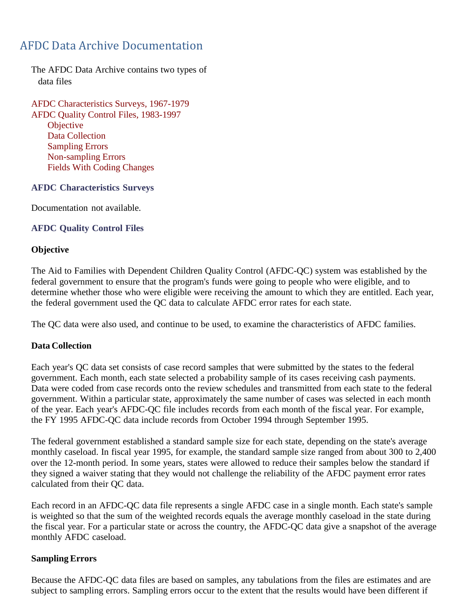# AFDC Data Archive Documentation

The AFDC Data Archive contains two types of data files

AFDC Characteristics Surveys, 1967-1979 AFDC Quality Control Files, 1983-1997 **Objective** Data Collection Sampling Errors Non-sampling Errors Fields With Coding Changes

#### **AFDC Characteristics Surveys**

Documentation not available.

## **AFDC Quality Control Files**

## **Objective**

The Aid to Families with Dependent Children Quality Control (AFDC-QC) system was established by the federal government to ensure that the program's funds were going to people who were eligible, and to determine whether those who were eligible were receiving the amount to which they are entitled. Each year, the federal government used the QC data to calculate AFDC error rates for each state.

The QC data were also used, and continue to be used, to examine the characteristics of AFDC families.

## **Data Collection**

Each year's QC data set consists of case record samples that were submitted by the states to the federal government. Each month, each state selected a probability sample of its cases receiving cash payments. Data were coded from case records onto the review schedules and transmitted from each state to the federal government. Within a particular state, approximately the same number of cases was selected in each month of the year. Each year's AFDC-QC file includes records from each month of the fiscal year. For example, the FY 1995 AFDC-QC data include records from October 1994 through September 1995.

The federal government established a standard sample size for each state, depending on the state's average monthly caseload. In fiscal year 1995, for example, the standard sample size ranged from about 300 to 2,400 over the 12-month period. In some years, states were allowed to reduce their samples below the standard if they signed a waiver stating that they would not challenge the reliability of the AFDC payment error rates calculated from their QC data.

Each record in an AFDC-QC data file represents a single AFDC case in a single month. Each state's sample is weighted so that the sum of the weighted records equals the average monthly caseload in the state during the fiscal year. For a particular state or across the country, the AFDC-QC data give a snapshot of the average monthly AFDC caseload.

## **Sampling Errors**

Because the AFDC-QC data files are based on samples, any tabulations from the files are estimates and are subject to sampling errors. Sampling errors occur to the extent that the results would have been different if